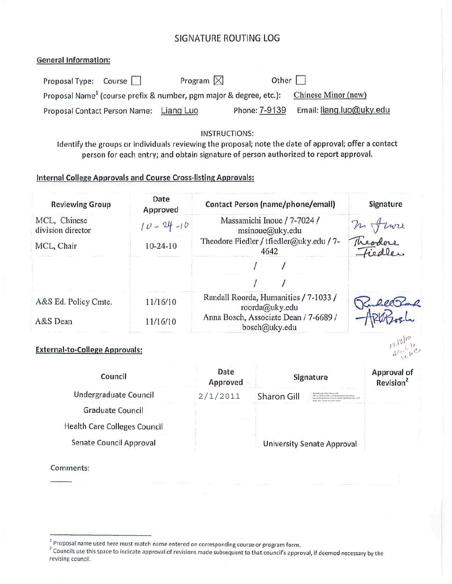# SIGNATURE ROUTING LOG

#### **General Information:**

| Proposal Type: Course                   | Program $\boxtimes$                                                            | Other $\Box$  |                          |
|-----------------------------------------|--------------------------------------------------------------------------------|---------------|--------------------------|
|                                         | Proposal Name <sup>1</sup> (course prefix & number, pgm major & degree, etc.): |               | Chinese Minor (new)      |
| Proposal Contact Person Name: Liang Luo |                                                                                | Phone: 7-9139 | Email: liang.luo@uky.edu |

#### **INSTRUCTIONS:**

Identify the groups or individuals reviewing the proposal; note the date of approval; offer a contact person for each entry; and obtain signature of person authorized to report approval.

# **Internal College Approvals and Course Cross-listing Approvals:**

| <b>Reviewing Group</b>                | Date<br>Approved | Contact Person (name/phone/email)                       | Signature          |
|---------------------------------------|------------------|---------------------------------------------------------|--------------------|
| MCL, Chinese<br>division director     | $10 - 24 - 10$   | Massamichi Inoue / 7-7024 /<br>msinoue@uky.edu          |                    |
| MCL, Chair                            | $10 - 24 - 10$   | Theodore Fiedler / tfiedler@uky.edu / 7-<br>4642        | m Juri<br>Theodore |
|                                       |                  |                                                         |                    |
|                                       |                  |                                                         |                    |
| A&S Ed. Policy Cmte.                  | 11/16/10         | Randall Roorda, Humanities / 7-1033 /<br>roorda@uky.edu | Rubel Bond         |
| A&S Dean                              | 11/16/10         | Anna Bosch, Associate Dean / 7-6689 /<br>bosch@uky.edu  |                    |
| <b>External-to-College Approvals:</b> |                  |                                                         |                    |

#### **External-to-College Approvals:**

| Council                             | Date<br>Approved |                    | Signature                                                                                                                                                                      | <b>Approval of</b><br>Revision <sup>2</sup> |
|-------------------------------------|------------------|--------------------|--------------------------------------------------------------------------------------------------------------------------------------------------------------------------------|---------------------------------------------|
| Undergraduate Council               | 2/1/2011         | <b>Sharon Gill</b> | Digitally signed by Sharon Gill<br>DN: cn=Sharon Gill, o=Undergraduate Education,<br>ou-Undergraduate Council, email-sqill@uky.edu, c-US<br>Date: 2011.02.04 10:27:03 - 05'00" |                                             |
| <b>Graduate Council</b>             |                  |                    |                                                                                                                                                                                |                                             |
| <b>Health Care Colleges Council</b> |                  |                    |                                                                                                                                                                                |                                             |
| Senate Council Approval             |                  |                    | <b>University Senate Approval</b>                                                                                                                                              |                                             |

Comments:

<sup>&</sup>lt;sup>1</sup> Proposal name used here must match name entered on corresponding course or program form.

<sup>&</sup>lt;sup>2</sup> Councils use this space to indicate approval of revisions made subsequent to that council's approval, if deemed necessary by the revising council.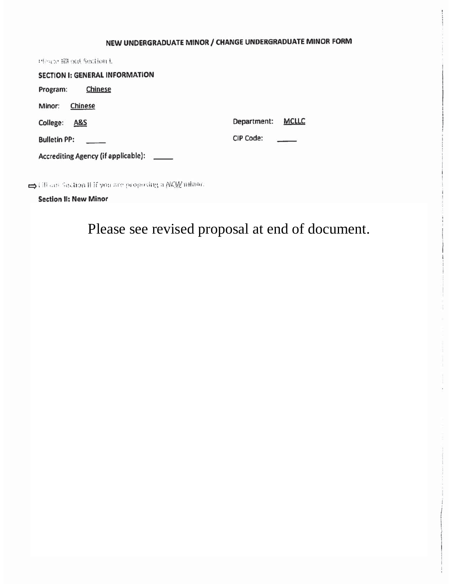# NEW UNDERGRADUATE MINOR / CHANGE UNDERGRADUATE MINOR FORM

| Please fill out Section L                 |                             |
|-------------------------------------------|-----------------------------|
| <b>SECTION I: GENERAL INFORMATION</b>     |                             |
| Chinese<br>Program:                       |                             |
| Chinese<br>Minor:                         |                             |
| College:<br><b>A&amp;S</b>                | Department:<br><b>MCLLC</b> |
| <b>Bulletin PP:</b>                       | <b>CIP Code:</b>            |
| Accrediting Agency (if applicable): _____ |                             |
|                                           |                             |

Gill can Sachon II if you are proposing a NEW minor.

**Section II: New Minor** 

Please see revised proposal at end of document.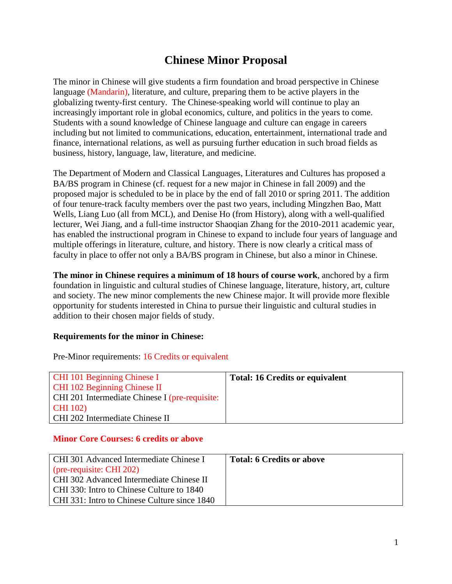# **Chinese Minor Proposal**

The minor in Chinese will give students a firm foundation and broad perspective in Chinese language (Mandarin), literature, and culture, preparing them to be active players in the globalizing twenty-first century. The Chinese-speaking world will continue to play an increasingly important role in global economics, culture, and politics in the years to come. Students with a sound knowledge of Chinese language and culture can engage in careers including but not limited to communications, education, entertainment, international trade and finance, international relations, as well as pursuing further education in such broad fields as business, history, language, law, literature, and medicine.

The Department of Modern and Classical Languages, Literatures and Cultures has proposed a BA/BS program in Chinese (cf. request for a new major in Chinese in fall 2009) and the proposed major is scheduled to be in place by the end of fall 2010 or spring 2011. The addition of four tenure-track faculty members over the past two years, including Mingzhen Bao, Matt Wells, Liang Luo (all from MCL), and Denise Ho (from History), along with a well-qualified lecturer, Wei Jiang, and a full-time instructor Shaoqian Zhang for the 2010-2011 academic year, has enabled the instructional program in Chinese to expand to include four years of language and multiple offerings in literature, culture, and history. There is now clearly a critical mass of faculty in place to offer not only a BA/BS program in Chinese, but also a minor in Chinese.

**The minor in Chinese requires a minimum of 18 hours of course work**, anchored by a firm foundation in linguistic and cultural studies of Chinese language, literature, history, art, culture and society. The new minor complements the new Chinese major. It will provide more flexible opportunity for students interested in China to pursue their linguistic and cultural studies in addition to their chosen major fields of study.

### **Requirements for the minor in Chinese:**

Pre-Minor requirements: 16 Credits or equivalent

| <b>CHI 101 Beginning Chinese I</b>             | <b>Total: 16 Credits or equivalent</b> |
|------------------------------------------------|----------------------------------------|
| CHI 102 Beginning Chinese II                   |                                        |
| CHI 201 Intermediate Chinese I (pre-requisite: |                                        |
| <b>CHI</b> 102)                                |                                        |
| CHI 202 Intermediate Chinese II                |                                        |

#### **Minor Core Courses: 6 credits or above**

| CHI 301 Advanced Intermediate Chinese I      | <b>Total: 6 Credits or above</b> |
|----------------------------------------------|----------------------------------|
| (pre-requisite: CHI 202)                     |                                  |
| CHI 302 Advanced Intermediate Chinese II     |                                  |
| CHI 330: Intro to Chinese Culture to 1840    |                                  |
| CHI 331: Intro to Chinese Culture since 1840 |                                  |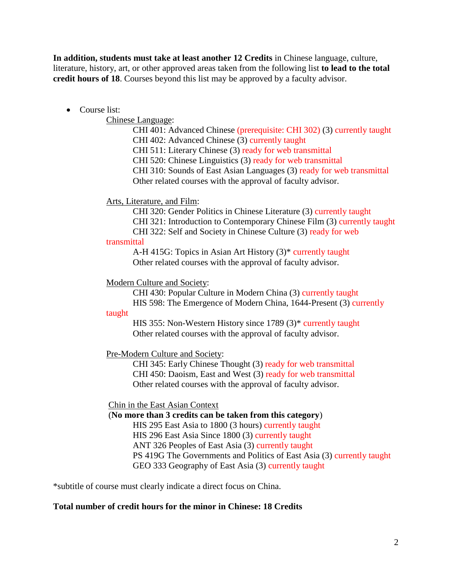**In addition, students must take at least another 12 Credits** in Chinese language, culture, literature, history, art, or other approved areas taken from the following list **to lead to the total credit hours of 18**. Courses beyond this list may be approved by a faculty advisor.

# • Course list:

Chinese Language:

CHI 401: Advanced Chinese (prerequisite: CHI 302) (3) currently taught CHI 402: Advanced Chinese (3) currently taught CHI 511: Literary Chinese (3) ready for web transmittal CHI 520: Chinese Linguistics (3) ready for web transmittal CHI 310: Sounds of East Asian Languages (3) ready for web transmittal Other related courses with the approval of faculty advisor.

# Arts, Literature, and Film:

CHI 320: Gender Politics in Chinese Literature (3) currently taught

CHI 321: Introduction to Contemporary Chinese Film (3) currently taught

CHI 322: Self and Society in Chinese Culture (3) ready for web transmittal

> A-H 415G: Topics in Asian Art History (3)\* currently taught Other related courses with the approval of faculty advisor.

### Modern Culture and Society:

CHI 430: Popular Culture in Modern China (3) currently taught HIS 598: The Emergence of Modern China, 1644-Present (3) currently

#### taught

HIS 355: Non-Western History since 1789 (3)\* currently taught Other related courses with the approval of faculty advisor.

### Pre-Modern Culture and Society:

CHI 345: Early Chinese Thought (3) ready for web transmittal CHI 450: Daoism, East and West (3) ready for web transmittal Other related courses with the approval of faculty advisor.

### Chin in the East Asian Context

(**No more than 3 credits can be taken from this category**)

HIS 295 East Asia to 1800 (3 hours) currently taught

HIS 296 East Asia Since 1800 (3) currently taught

ANT 326 Peoples of East Asia (3) currently taught

PS 419G The Governments and Politics of East Asia (3) currently taught GEO 333 Geography of East Asia (3) currently taught

\*subtitle of course must clearly indicate a direct focus on China.

### **Total number of credit hours for the minor in Chinese: 18 Credits**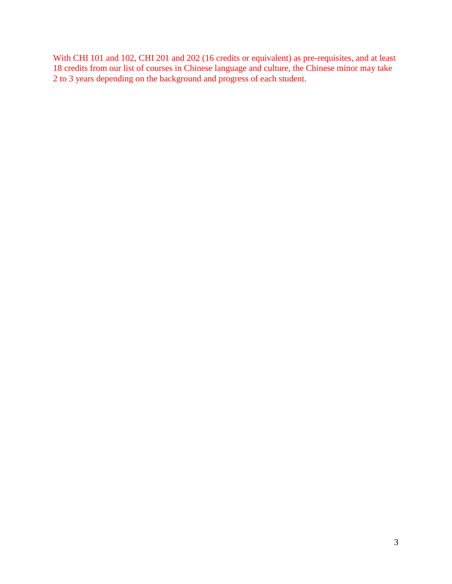With CHI 101 and 102, CHI 201 and 202 (16 credits or equivalent) as pre-requisites, and at least 18 credits from our list of courses in Chinese language and culture, the Chinese minor may take 2 to 3 years depending on the background and progress of each student.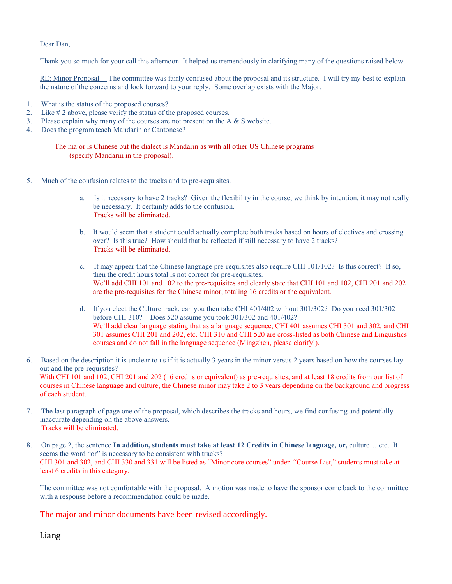Dear Dan,

Thank you so much for your call this afternoon. It helped us tremendously in clarifying many of the questions raised below.

RE: Minor Proposal – The committee was fairly confused about the proposal and its structure. I will try my best to explain the nature of the concerns and look forward to your reply. Some overlap exists with the Major.

- 1. What is the status of the proposed courses?
- 2. Like # 2 above, please verify the status of the proposed courses.
- 3. Please explain why many of the courses are not present on the A & S website.
- 4. Does the program teach Mandarin or Cantonese?

 The major is Chinese but the dialect is Mandarin as with all other US Chinese programs (specify Mandarin in the proposal).

- 5. Much of the confusion relates to the tracks and to pre-requisites.
	- a. Is it necessary to have 2 tracks? Given the flexibility in the course, we think by intention, it may not really be necessary. It certainly adds to the confusion. Tracks will be eliminated.
	- b. It would seem that a student could actually complete both tracks based on hours of electives and crossing over? Is this true? How should that be reflected if still necessary to have 2 tracks? Tracks will be eliminated.
	- c. It may appear that the Chinese language pre-requisites also require CHI 101/102? Is this correct? If so, then the credit hours total is not correct for pre-requisites. We'll add CHI 101 and 102 to the pre-requisites and clearly state that CHI 101 and 102, CHI 201 and 202 are the pre-requisites for the Chinese minor, totaling 16 credits or the equivalent.
	- d. If you elect the Culture track, can you then take CHI 401/402 without 301/302? Do you need 301/302 before CHI 310? Does 520 assume you took 301/302 and 401/402? We'll add clear language stating that as a language sequence, CHI 401 assumes CHI 301 and 302, and CHI 301 assumes CHI 201 and 202, etc. CHI 310 and CHI 520 are cross-listed as both Chinese and Linguistics courses and do not fall in the language sequence (Mingzhen, please clarify!).

6. Based on the description it is unclear to us if it is actually 3 years in the minor versus 2 years based on how the courses lay out and the pre-requisites? With CHI 101 and 102, CHI 201 and 202 (16 credits or equivalent) as pre-requisites, and at least 18 credits from our list of courses in Chinese language and culture, the Chinese minor may take 2 to 3 years depending on the background and progress of each student.

- 7. The last paragraph of page one of the proposal, which describes the tracks and hours, we find confusing and potentially inaccurate depending on the above answers. Tracks will be eliminated.
- 8. On page 2, the sentence **In addition, students must take at least 12 Credits in Chinese language, or,** culture… etc. It seems the word "or" is necessary to be consistent with tracks? CHI 301 and 302, and CHI 330 and 331 will be listed as "Minor core courses" under "Course List," students must take at least 6 credits in this category.

The committee was not comfortable with the proposal. A motion was made to have the sponsor come back to the committee with a response before a recommendation could be made.

The major and minor documents have been revised accordingly.

Liang